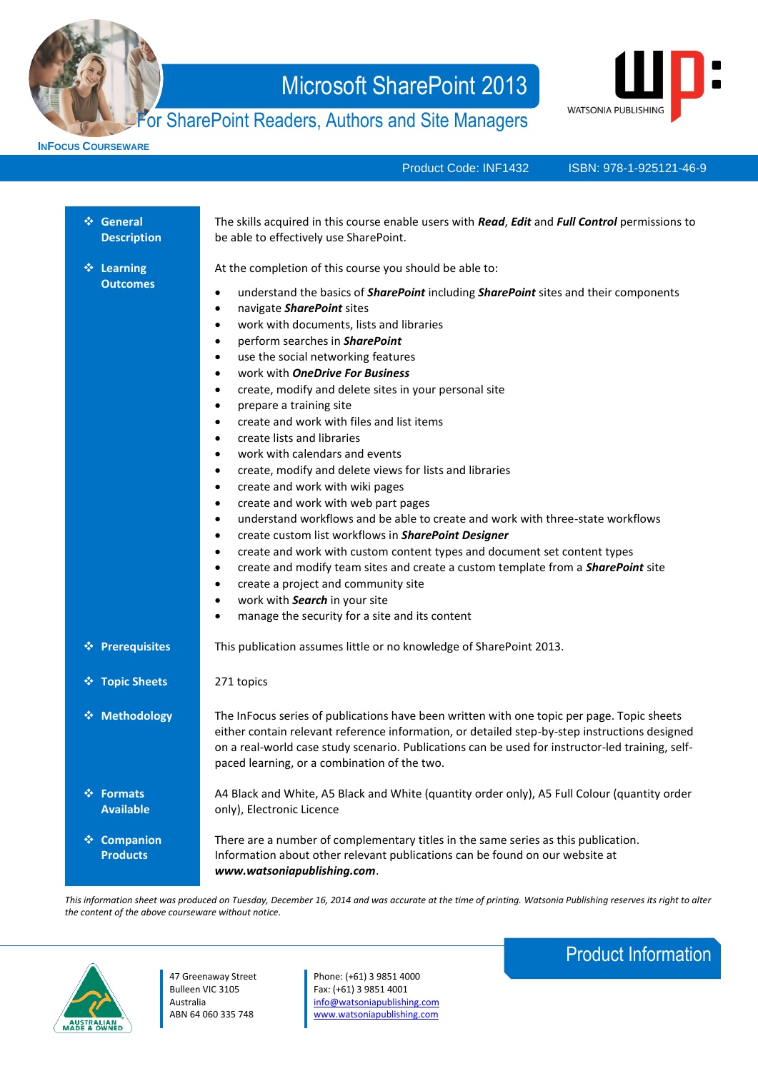





**INFOCUS COURSEWARE**

Product Code: INF1432

ISBN: 978-1-925121-46-9

| ❖ General<br><b>Description</b>          | The skills acquired in this course enable users with Read, Edit and Full Control permissions to<br>be able to effectively use SharePoint.                                                                                                                                                                                                                                                                                                                                                                                                                                                                                                                                                                                                                                                                                                                                                                                                                                                                                                                                                                                                                                                                                                                                                                                                                 |
|------------------------------------------|-----------------------------------------------------------------------------------------------------------------------------------------------------------------------------------------------------------------------------------------------------------------------------------------------------------------------------------------------------------------------------------------------------------------------------------------------------------------------------------------------------------------------------------------------------------------------------------------------------------------------------------------------------------------------------------------------------------------------------------------------------------------------------------------------------------------------------------------------------------------------------------------------------------------------------------------------------------------------------------------------------------------------------------------------------------------------------------------------------------------------------------------------------------------------------------------------------------------------------------------------------------------------------------------------------------------------------------------------------------|
| ❖ Learning<br><b>Outcomes</b>            | At the completion of this course you should be able to:<br>understand the basics of <b>SharePoint</b> including <b>SharePoint</b> sites and their components<br>٠<br>navigate SharePoint sites<br>$\bullet$<br>work with documents, lists and libraries<br>٠<br>perform searches in SharePoint<br>$\bullet$<br>use the social networking features<br>$\bullet$<br>work with OneDrive For Business<br>$\bullet$<br>create, modify and delete sites in your personal site<br>٠<br>prepare a training site<br>٠<br>create and work with files and list items<br>$\bullet$<br>create lists and libraries<br>$\bullet$<br>work with calendars and events<br>$\bullet$<br>create, modify and delete views for lists and libraries<br>$\bullet$<br>create and work with wiki pages<br>$\bullet$<br>create and work with web part pages<br>$\bullet$<br>understand workflows and be able to create and work with three-state workflows<br>٠<br>create custom list workflows in SharePoint Designer<br>$\bullet$<br>create and work with custom content types and document set content types<br>$\bullet$<br>create and modify team sites and create a custom template from a <b>SharePoint</b> site<br>$\bullet$<br>create a project and community site<br>٠<br>work with Search in your site<br>$\bullet$<br>manage the security for a site and its content<br>٠ |
| ❖ Prerequisites                          | This publication assumes little or no knowledge of SharePoint 2013.                                                                                                                                                                                                                                                                                                                                                                                                                                                                                                                                                                                                                                                                                                                                                                                                                                                                                                                                                                                                                                                                                                                                                                                                                                                                                       |
| ❖ Topic Sheets                           | 271 topics                                                                                                                                                                                                                                                                                                                                                                                                                                                                                                                                                                                                                                                                                                                                                                                                                                                                                                                                                                                                                                                                                                                                                                                                                                                                                                                                                |
| ❖ Methodology                            | The InFocus series of publications have been written with one topic per page. Topic sheets<br>either contain relevant reference information, or detailed step-by-step instructions designed<br>on a real-world case study scenario. Publications can be used for instructor-led training, self-<br>paced learning, or a combination of the two.                                                                                                                                                                                                                                                                                                                                                                                                                                                                                                                                                                                                                                                                                                                                                                                                                                                                                                                                                                                                           |
| <b>Formats</b><br>豪<br><b>Available</b>  | A4 Black and White, A5 Black and White (quantity order only), A5 Full Colour (quantity order<br>only), Electronic Licence                                                                                                                                                                                                                                                                                                                                                                                                                                                                                                                                                                                                                                                                                                                                                                                                                                                                                                                                                                                                                                                                                                                                                                                                                                 |
| <b>Companion</b><br>察<br><b>Products</b> | There are a number of complementary titles in the same series as this publication.<br>Information about other relevant publications can be found on our website at<br>www.watsoniapublishing.com.                                                                                                                                                                                                                                                                                                                                                                                                                                                                                                                                                                                                                                                                                                                                                                                                                                                                                                                                                                                                                                                                                                                                                         |

*This information sheet was produced on Tuesday, December 16, 2014 and was accurate at the time of printing. Watsonia Publishing reserves its right to alter the content of the above courseware without notice.*



47 Greenaway Street Bulleen VIC 3105 Australia ABN 64 060 335 748

Phone: (+61) 3 9851 4000 Fax: (+61) 3 9851 4001 [info@watsoniapublishing.com](mailto:info@watsoniapublishing.com) [www.watsoniapublishing.com](http://www.watsoniapublishing.com/)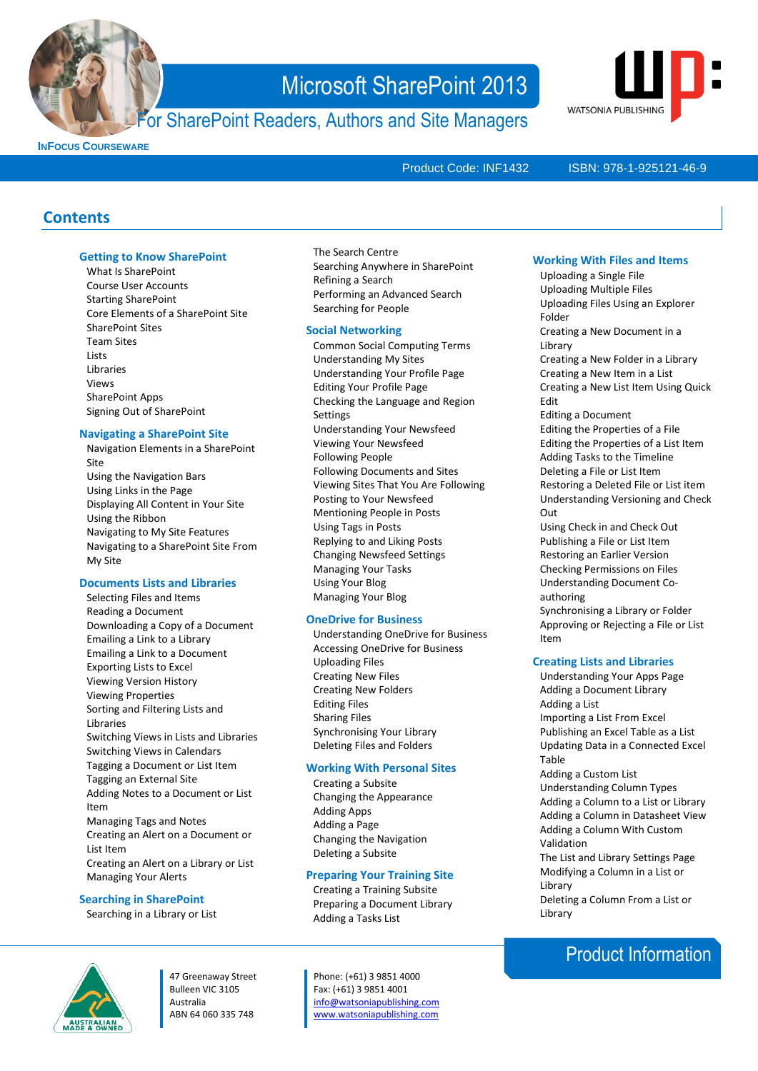

### For SharePoint Readers, Authors and Site Managers



**INFOCUS COURSEWARE**

Product Code: INF1432

### ISBN: 978-1-925121-46-9

### **Contents**

### **Getting to Know SharePoint**

What Is SharePoint Course User Accounts Starting SharePoint Core Elements of a SharePoint Site SharePoint Sites Team Sites **Lists** Libraries Views SharePoint Apps Signing Out of SharePoint

### **Navigating a SharePoint Site**

Navigation Elements in a SharePoint Site Using the Navigation Bars Using Links in the Page Displaying All Content in Your Site Using the Ribbon Navigating to My Site Features Navigating to a SharePoint Site From My Site

#### **Documents Lists and Libraries**

Selecting Files and Items Reading a Document Downloading a Copy of a Document Emailing a Link to a Library Emailing a Link to a Document Exporting Lists to Excel Viewing Version History Viewing Properties Sorting and Filtering Lists and Libraries Switching Views in Lists and Libraries Switching Views in Calendars Tagging a Document or List Item Tagging an External Site Adding Notes to a Document or List Item Managing Tags and Notes Creating an Alert on a Document or List Item Creating an Alert on a Library or List Managing Your Alerts

#### **Searching in SharePoint**

Searching in a Library or List

### The Search Centre Searching Anywhere in SharePoint Refining a Search Performing an Advanced Search Searching for People

### **Social Networking**

Common Social Computing Terms Understanding My Sites Understanding Your Profile Page Editing Your Profile Page Checking the Language and Region **Settings** Understanding Your Newsfeed Viewing Your Newsfeed Following People Following Documents and Sites Viewing Sites That You Are Following Posting to Your Newsfeed Mentioning People in Posts Using Tags in Posts Replying to and Liking Posts Changing Newsfeed Settings Managing Your Tasks Using Your Blog Managing Your Blog

#### **OneDrive for Business**

Understanding OneDrive for Business Accessing OneDrive for Business Uploading Files Creating New Files Creating New Folders Editing Files Sharing Files Synchronising Your Library Deleting Files and Folders

### **Working With Personal Sites**

Creating a Subsite Changing the Appearance Adding Apps Adding a Page Changing the Navigation Deleting a Subsite

### **Preparing Your Training Site**

Creating a Training Subsite Preparing a Document Library Adding a Tasks List

47 Greenaway Street Bulleen VIC 3105 Australia ABN 64 060 335 748

Phone: (+61) 3 9851 4000 Fax: (+61) 3 9851 4001 [info@watsoniapublishing.com](mailto:info@watsoniapublishing.com) [www.watsoniapublishing.com](http://www.watsoniapublishing.com/)

### **Working With Files and Items**

Uploading a Single File Uploading Multiple Files Uploading Files Using an Explorer Folder Creating a New Document in a Library Creating a New Folder in a Library Creating a New Item in a List Creating a New List Item Using Quick Edit Editing a Document Editing the Properties of a File Editing the Properties of a List Item Adding Tasks to the Timeline Deleting a File or List Item Restoring a Deleted File or List item Understanding Versioning and Check Out Using Check in and Check Out Publishing a File or List Item Restoring an Earlier Version Checking Permissions on Files Understanding Document Coauthoring Synchronising a Library or Folder Approving or Rejecting a File or List Item **Creating Lists and Libraries**

- Understanding Your Apps Page Adding a Document Library Adding a List Importing a List From Excel Publishing an Excel Table as a List Updating Data in a Connected Excel Table Adding a Custom List Understanding Column Types Adding a Column to a List or Library Adding a Column in Datasheet View Adding a Column With Custom Validation The List and Library Settings Page Modifying a Column in a List or
- Library Deleting a Column From a List or Library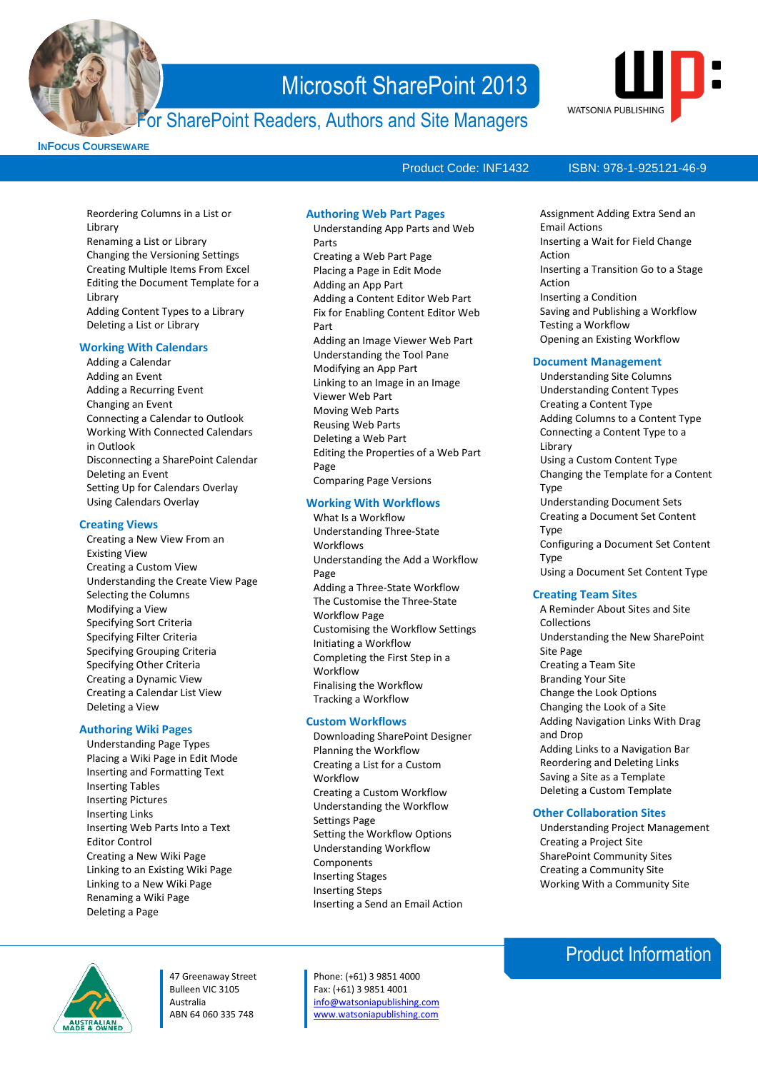

## For SharePoint Readers, Authors and Site Managers



**INFOCUS COURSEWARE**

Product Code: INF1432

### ISBN: 978-1-925121-46-9

Reordering Columns in a List or **Library** Renaming a List or Library Changing the Versioning Settings Creating Multiple Items From Excel Editing the Document Template for a Library Adding Content Types to a Library Deleting a List or Library

#### **Working With Calendars**

Adding a Calendar Adding an Event Adding a Recurring Event Changing an Event Connecting a Calendar to Outlook Working With Connected Calendars in Outlook Disconnecting a SharePoint Calendar Deleting an Event Setting Up for Calendars Overlay Using Calendars Overlay

### **Creating Views**

Creating a New View From an Existing View Creating a Custom View Understanding the Create View Page Selecting the Columns Modifying a View Specifying Sort Criteria Specifying Filter Criteria Specifying Grouping Criteria Specifying Other Criteria Creating a Dynamic View Creating a Calendar List View Deleting a View

### **Authoring Wiki Pages**

Understanding Page Types Placing a Wiki Page in Edit Mode Inserting and Formatting Text Inserting Tables Inserting Pictures Inserting Links Inserting Web Parts Into a Text Editor Control Creating a New Wiki Page Linking to an Existing Wiki Page Linking to a New Wiki Page Renaming a Wiki Page Deleting a Page

### **Authoring Web Part Pages**

Understanding App Parts and Web Parts Creating a Web Part Page Placing a Page in Edit Mode Adding an App Part Adding a Content Editor Web Part Fix for Enabling Content Editor Web Part Adding an Image Viewer Web Part Understanding the Tool Pane Modifying an App Part Linking to an Image in an Image Viewer Web Part Moving Web Parts Reusing Web Parts Deleting a Web Part Editing the Properties of a Web Part Page Comparing Page Versions

### **Working With Workflows**

What Is a Workflow Understanding Three-State Workflows Understanding the Add a Workflow Page Adding a Three-State Workflow The Customise the Three-State Workflow Page Customising the Workflow Settings Initiating a Workflow Completing the First Step in a Workflow Finalising the Workflow Tracking a Workflow

### **Custom Workflows**

Downloading SharePoint Designer Planning the Workflow Creating a List for a Custom Workflow Creating a Custom Workflow Understanding the Workflow Settings Page Setting the Workflow Options Understanding Workflow Components Inserting Stages Inserting Steps Inserting a Send an Email Action

47 Greenaway Street Bulleen VIC 3105 Australia ABN 64 060 335 748

Phone: (+61) 3 9851 4000 Fax: (+61) 3 9851 4001 [info@watsoniapublishing.com](mailto:info@watsoniapublishing.com) [www.watsoniapublishing.com](http://www.watsoniapublishing.com/)

Email Actions Inserting a Wait for Field Change Action Inserting a Transition Go to a Stage Action Inserting a Condition Saving and Publishing a Workflow Testing a Workflow Opening an Existing Workflow **Document Management** Understanding Site Columns

Assignment Adding Extra Send an

Understanding Content Types Creating a Content Type Adding Columns to a Content Type Connecting a Content Type to a **Library** Using a Custom Content Type Changing the Template for a Content Type Understanding Document Sets Creating a Document Set Content Type Configuring a Document Set Content Type Using a Document Set Content Type

### **Creating Team Sites**

A Reminder About Sites and Site Collections Understanding the New SharePoint Site Page Creating a Team Site Branding Your Site Change the Look Options Changing the Look of a Site Adding Navigation Links With Drag and Drop Adding Links to a Navigation Bar Reordering and Deleting Links Saving a Site as a Template Deleting a Custom Template

### **Other Collaboration Sites**

Understanding Project Management Creating a Project Site SharePoint Community Sites Creating a Community Site Working With a Community Site